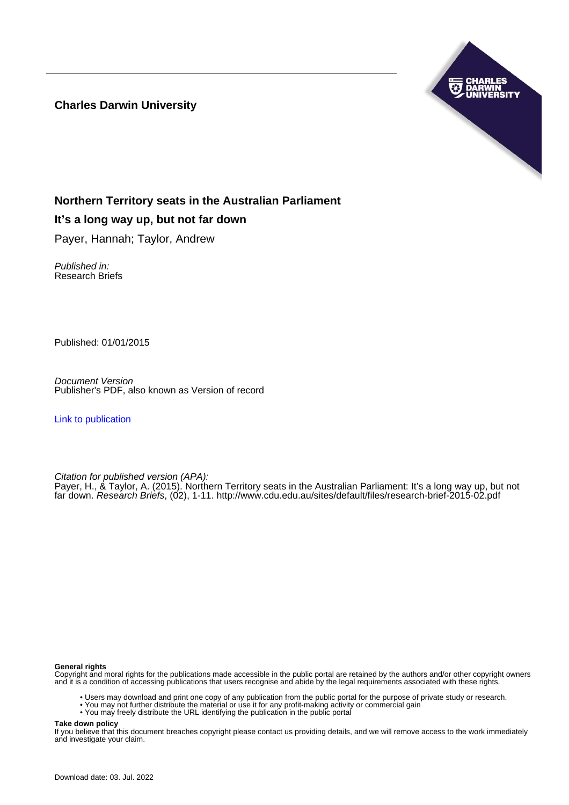**Charles Darwin University**



#### **Northern Territory seats in the Australian Parliament**

#### **It's a long way up, but not far down**

Payer, Hannah; Taylor, Andrew

Published in: Research Briefs

Published: 01/01/2015

Document Version Publisher's PDF, also known as Version of record

[Link to publication](https://researchers.cdu.edu.au/en/publications/2c57a713-58d5-4dc4-be7a-ddc8cbb7030b)

Citation for published version (APA):

Payer, H., & Taylor, A. (2015). Northern Territory seats in the Australian Parliament: It's a long way up, but not far down. Research Briefs, (02), 1-11. <http://www.cdu.edu.au/sites/default/files/research-brief-2015-02.pdf>

#### **General rights**

Copyright and moral rights for the publications made accessible in the public portal are retained by the authors and/or other copyright owners and it is a condition of accessing publications that users recognise and abide by the legal requirements associated with these rights.

- Users may download and print one copy of any publication from the public portal for the purpose of private study or research.
- You may not further distribute the material or use it for any profit-making activity or commercial gain
- You may freely distribute the URL identifying the publication in the public portal

**Take down policy**

If you believe that this document breaches copyright please contact us providing details, and we will remove access to the work immediately and investigate your claim.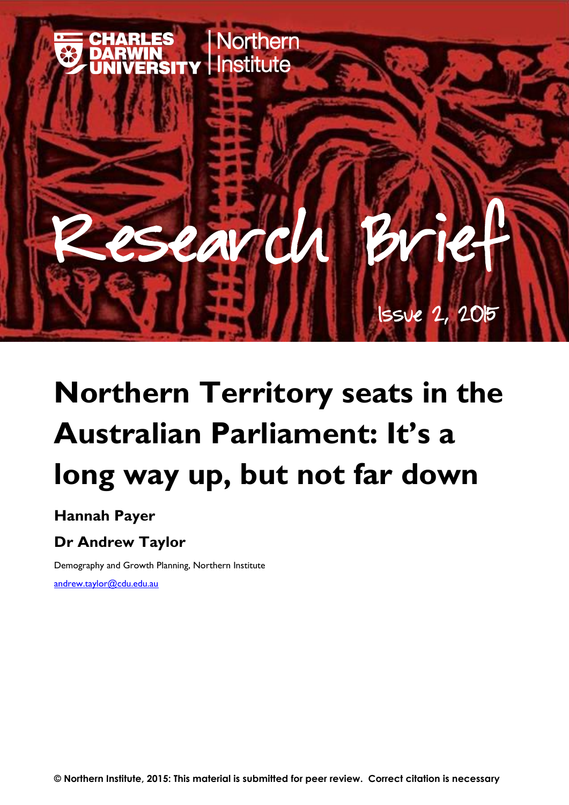

# **Northern Territory seats in the Australian Parliament: It's a long way up, but not far down**

### **Hannah Payer**

# **Dr Andrew Taylor**

Demography and Growth Planning, Northern Institute

[andrew.taylor@cdu.edu.au](mailto:andrew.taylor@cdu.edu.au)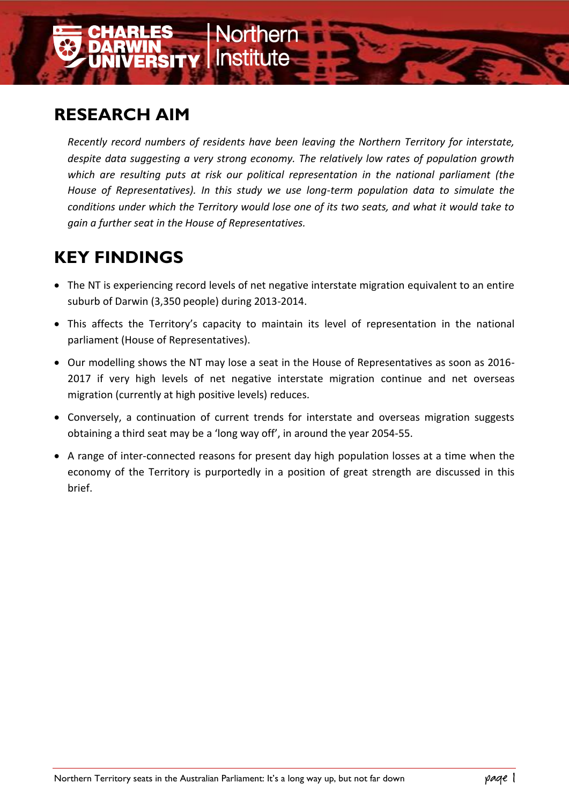

# **RESEARCH AIM**

*Recently record numbers of residents have been leaving the Northern Territory for interstate, despite data suggesting a very strong economy. The relatively low rates of population growth which are resulting puts at risk our political representation in the national parliament (the House of Representatives). In this study we use long-term population data to simulate the conditions under which the Territory would lose one of its two seats, and what it would take to gain a further seat in the House of Representatives.*

# **KEY FINDINGS**

- The NT is experiencing record levels of net negative interstate migration equivalent to an entire suburb of Darwin (3,350 people) during 2013-2014.
- This affects the Territory's capacity to maintain its level of representation in the national parliament (House of Representatives).
- Our modelling shows the NT may lose a seat in the House of Representatives as soon as 2016- 2017 if very high levels of net negative interstate migration continue and net overseas migration (currently at high positive levels) reduces.
- Conversely, a continuation of current trends for interstate and overseas migration suggests obtaining a third seat may be a 'long way off', in around the year 2054-55.
- A range of inter-connected reasons for present day high population losses at a time when the economy of the Territory is purportedly in a position of great strength are discussed in this brief.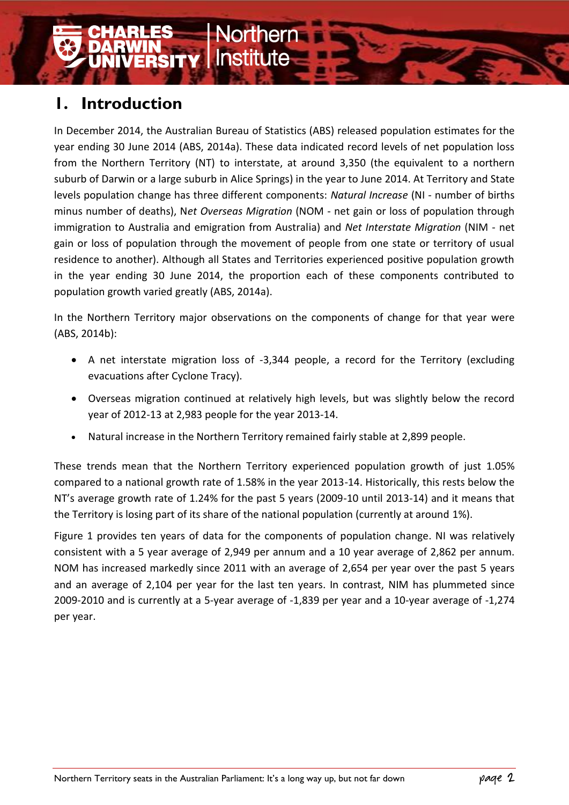# **1. Introduction**

In December 2014, the Australian Bureau of Statistics (ABS) released population estimates for the year ending 30 June 2014 (ABS, 2014a). These data indicated record levels of net population loss from the Northern Territory (NT) to interstate, at around 3,350 (the equivalent to a northern suburb of Darwin or a large suburb in Alice Springs) in the year to June 2014. At Territory and State levels population change has three different components: *Natural Increase* (NI - number of births minus number of deaths), N*et Overseas Migration* (NOM - net gain or loss of population through immigration to Australia and emigration from Australia) and *Net Interstate Migration* (NIM - net gain or loss of population through the movement of people from one state or territory of usual residence to another). Although all States and Territories experienced positive population growth in the year ending 30 June 2014, the proportion each of these components contributed to population growth varied greatly (ABS, 2014a).

**SITY | Institute** 

In the Northern Territory major observations on the components of change for that year were (ABS, 2014b):

- A net interstate migration loss of -3,344 people, a record for the Territory (excluding evacuations after Cyclone Tracy).
- Overseas migration continued at relatively high levels, but was slightly below the record year of 2012-13 at 2,983 people for the year 2013-14.
- Natural increase in the Northern Territory remained fairly stable at 2,899 people.

These trends mean that the Northern Territory experienced population growth of just 1.05% compared to a national growth rate of 1.58% in the year 2013-14. Historically, this rests below the NT's average growth rate of 1.24% for the past 5 years (2009-10 until 2013-14) and it means that the Territory is losing part of its share of the national population (currently at around 1%).

Figure 1 provides ten years of data for the components of population change. NI was relatively consistent with a 5 year average of 2,949 per annum and a 10 year average of 2,862 per annum. NOM has increased markedly since 2011 with an average of 2,654 per year over the past 5 years and an average of 2,104 per year for the last ten years. In contrast, NIM has plummeted since 2009-2010 and is currently at a 5-year average of -1,839 per year and a 10-year average of -1,274 per year.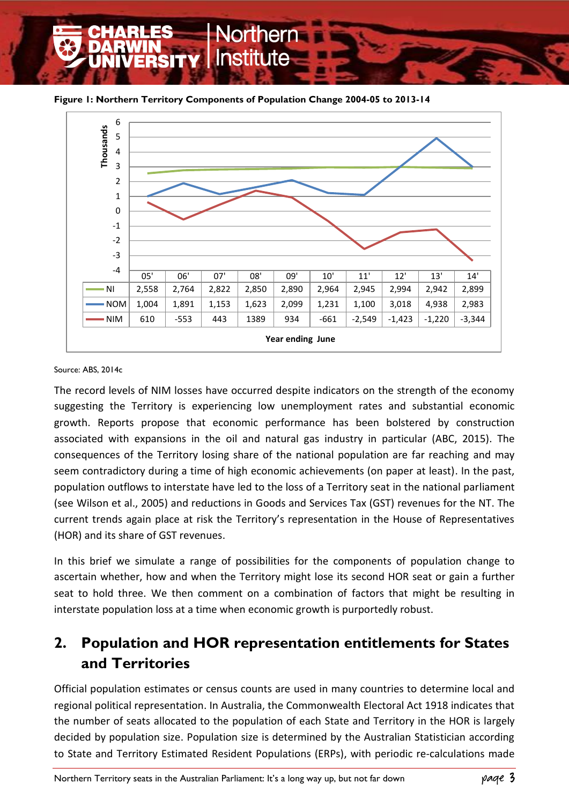**Figure 1: Northern Territory Components of Population Change 2004-05 to 2013-14**



#### Source: ABS, 2014c

The record levels of NIM losses have occurred despite indicators on the strength of the economy suggesting the Territory is experiencing low unemployment rates and substantial economic growth. Reports propose that economic performance has been bolstered by construction associated with expansions in the oil and natural gas industry in particular (ABC, 2015). The consequences of the Territory losing share of the national population are far reaching and may seem contradictory during a time of high economic achievements (on paper at least). In the past, population outflows to interstate have led to the loss of a Territory seat in the national parliament (see Wilson et al., 2005) and reductions in Goods and Services Tax (GST) revenues for the NT. The current trends again place at risk the Territory's representation in the House of Representatives (HOR) and its share of GST revenues.

In this brief we simulate a range of possibilities for the components of population change to ascertain whether, how and when the Territory might lose its second HOR seat or gain a further seat to hold three. We then comment on a combination of factors that might be resulting in interstate population loss at a time when economic growth is purportedly robust.

### **2. Population and HOR representation entitlements for States and Territories**

Official population estimates or census counts are used in many countries to determine local and regional political representation. In Australia, the Commonwealth Electoral Act 1918 indicates that the number of seats allocated to the population of each State and Territory in the HOR is largely decided by population size. Population size is determined by the Australian Statistician according to State and Territory Estimated Resident Populations (ERPs), with periodic re-calculations made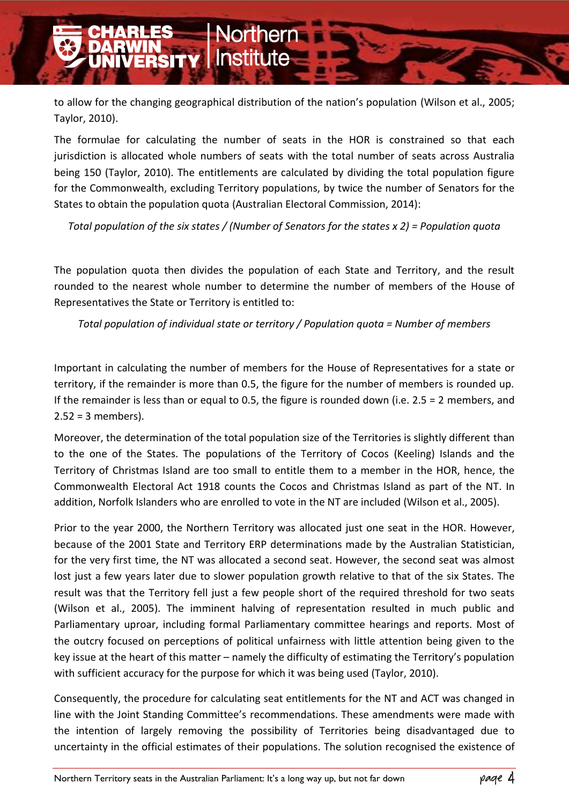to allow for the changing geographical distribution of the nation's population (Wilson et al., 2005; Taylor, 2010).

orthern

**VIN<br>ERSITY I**nstitute

The formulae for calculating the number of seats in the HOR is constrained so that each jurisdiction is allocated whole numbers of seats with the total number of seats across Australia being 150 (Taylor, 2010). The entitlements are calculated by dividing the total population figure for the Commonwealth, excluding Territory populations, by twice the number of Senators for the States to obtain the population quota (Australian Electoral Commission, 2014):

*Total population of the six states / (Number of Senators for the states x 2) = Population quota*

The population quota then divides the population of each State and Territory, and the result rounded to the nearest whole number to determine the number of members of the House of Representatives the State or Territory is entitled to:

*Total population of individual state or territory / Population quota = Number of members*

Important in calculating the number of members for the House of Representatives for a state or territory, if the remainder is more than 0.5, the figure for the number of members is rounded up. If the remainder is less than or equal to 0.5, the figure is rounded down (i.e. 2.5 = 2 members, and  $2.52 = 3$  members).

Moreover, the determination of the total population size of the Territories is slightly different than to the one of the States. The populations of the Territory of Cocos (Keeling) Islands and the Territory of Christmas Island are too small to entitle them to a member in the HOR, hence, the Commonwealth Electoral Act 1918 counts the Cocos and Christmas Island as part of the NT. In addition, Norfolk Islanders who are enrolled to vote in the NT are included (Wilson et al., 2005).

Prior to the year 2000, the Northern Territory was allocated just one seat in the HOR. However, because of the 2001 State and Territory ERP determinations made by the Australian Statistician, for the very first time, the NT was allocated a second seat. However, the second seat was almost lost just a few years later due to slower population growth relative to that of the six States. The result was that the Territory fell just a few people short of the required threshold for two seats (Wilson et al., 2005). The imminent halving of representation resulted in much public and Parliamentary uproar, including formal Parliamentary committee hearings and reports. Most of the outcry focused on perceptions of political unfairness with little attention being given to the key issue at the heart of this matter – namely the difficulty of estimating the Territory's population with sufficient accuracy for the purpose for which it was being used (Taylor, 2010).

Consequently, the procedure for calculating seat entitlements for the NT and ACT was changed in line with the Joint Standing Committee's recommendations. These amendments were made with the intention of largely removing the possibility of Territories being disadvantaged due to uncertainty in the official estimates of their populations. The solution recognised the existence of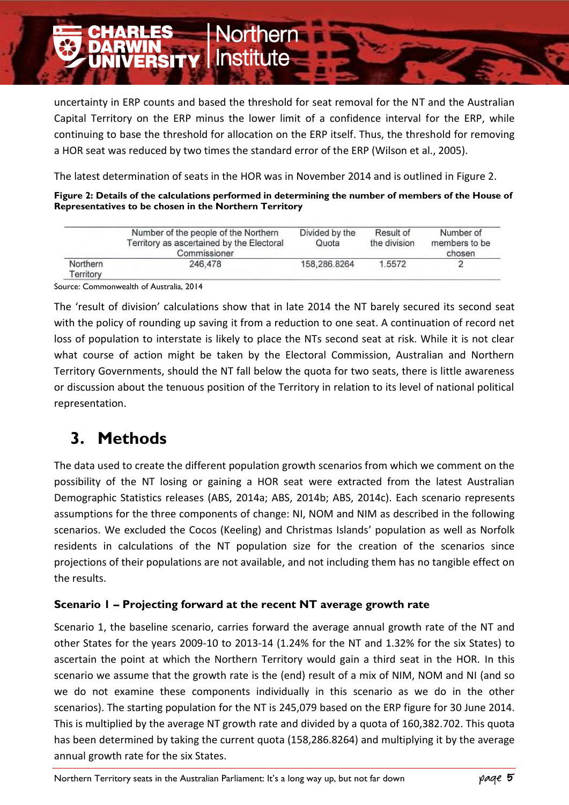uncertainty in ERP counts and based the threshold for seat removal for the NT and the Australian Capital Territory on the ERP minus the lower limit of a confidence interval for the ERP, while continuing to base the threshold for allocation on the ERP itself. Thus, the threshold for removing a HOR seat was reduced by two times the standard error of the ERP (Wilson et al., 2005).

orthern

**TIN<br>ERSITY I**nstitute

The latest determination of seats in the HOR was in November 2014 and is outlined in Figure 2.

| Figure 2: Details of the calculations performed in determining the number of members of the House of |  |
|------------------------------------------------------------------------------------------------------|--|
| Representatives to be chosen in the Northern Territory                                               |  |

|                       | Number of the people of the Northern<br>Territory as ascertained by the Electoral<br>Commissioner | Divided by the<br>Quota | Result of<br>the division | Number of<br>members to be<br>chosen |
|-----------------------|---------------------------------------------------------------------------------------------------|-------------------------|---------------------------|--------------------------------------|
| Northern<br>Territory | 246.478                                                                                           | 158,286,8264            | 1.5572                    |                                      |

Source: Commonwealth of Australia, 2014

The 'result of division' calculations show that in late 2014 the NT barely secured its second seat with the policy of rounding up saving it from a reduction to one seat. A continuation of record net loss of population to interstate is likely to place the NTs second seat at risk. While it is not clear what course of action might be taken by the Electoral Commission, Australian and Northern Territory Governments, should the NT fall below the quota for two seats, there is little awareness or discussion about the tenuous position of the Territory in relation to its level of national political representation.

# **3. Methods**

The data used to create the different population growth scenarios from which we comment on the possibility of the NT losing or gaining a HOR seat were extracted from the latest Australian Demographic Statistics releases (ABS, 2014a; ABS, 2014b; ABS, 2014c). Each scenario represents assumptions for the three components of change: NI, NOM and NIM as described in the following scenarios. We excluded the Cocos (Keeling) and Christmas Islands' population as well as Norfolk residents in calculations of the NT population size for the creation of the scenarios since projections of their populations are not available, and not including them has no tangible effect on the results.

#### **Scenario 1 – Projecting forward at the recent NT average growth rate**

Scenario 1, the baseline scenario, carries forward the average annual growth rate of the NT and other States for the years 2009-10 to 2013-14 (1.24% for the NT and 1.32% for the six States) to ascertain the point at which the Northern Territory would gain a third seat in the HOR. In this scenario we assume that the growth rate is the (end) result of a mix of NIM, NOM and NI (and so we do not examine these components individually in this scenario as we do in the other scenarios). The starting population for the NT is 245,079 based on the ERP figure for 30 June 2014. This is multiplied by the average NT growth rate and divided by a quota of 160,382.702. This quota has been determined by taking the current quota (158,286.8264) and multiplying it by the average annual growth rate for the six States.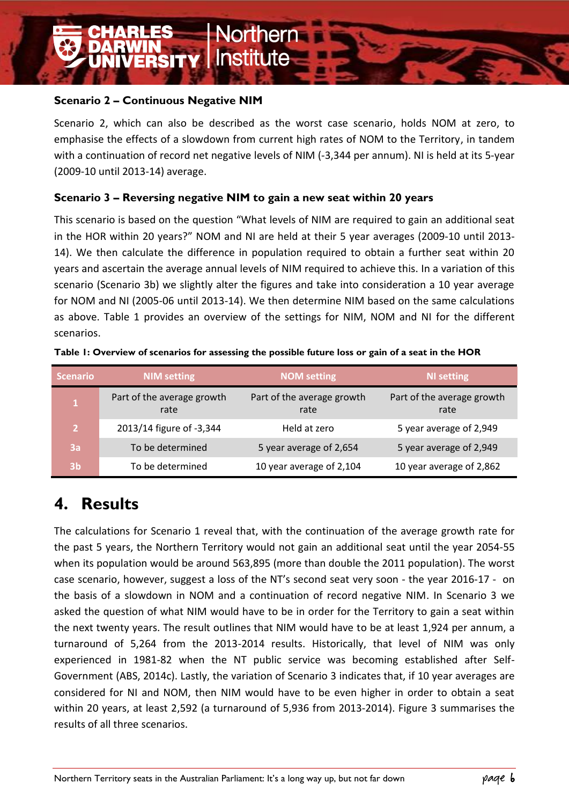#### **Scenario 2 – Continuous Negative NIM**

**TIN<br>Ersity** 

Scenario 2, which can also be described as the worst case scenario, holds NOM at zero, to emphasise the effects of a slowdown from current high rates of NOM to the Territory, in tandem with a continuation of record net negative levels of NIM (-3,344 per annum). NI is held at its 5-year (2009-10 until 2013-14) average.

orthern

**Institute** 

#### **Scenario 3 – Reversing negative NIM to gain a new seat within 20 years**

This scenario is based on the question "What levels of NIM are required to gain an additional seat in the HOR within 20 years?" NOM and NI are held at their 5 year averages (2009-10 until 2013- 14). We then calculate the difference in population required to obtain a further seat within 20 years and ascertain the average annual levels of NIM required to achieve this. In a variation of this scenario (Scenario 3b) we slightly alter the figures and take into consideration a 10 year average for NOM and NI (2005-06 until 2013-14). We then determine NIM based on the same calculations as above. Table 1 provides an overview of the settings for NIM, NOM and NI for the different scenarios.

| <b>Scenario</b> | <b>NIM setting</b>                 | <b>NOM setting</b>                 | <b>NI setting</b>                  |
|-----------------|------------------------------------|------------------------------------|------------------------------------|
|                 | Part of the average growth<br>rate | Part of the average growth<br>rate | Part of the average growth<br>rate |
| $\overline{2}$  | 2013/14 figure of -3,344           | Held at zero                       | 5 year average of 2,949            |
| 3a              | To be determined                   | 5 year average of 2,654            | 5 year average of 2,949            |
| 3 <sub>b</sub>  | To be determined                   | 10 year average of 2,104           | 10 year average of 2,862           |

**Table 1: Overview of scenarios for assessing the possible future loss or gain of a seat in the HOR**

### **4. Results**

The calculations for Scenario 1 reveal that, with the continuation of the average growth rate for the past 5 years, the Northern Territory would not gain an additional seat until the year 2054-55 when its population would be around 563,895 (more than double the 2011 population). The worst case scenario, however, suggest a loss of the NT's second seat very soon - the year 2016-17 - on the basis of a slowdown in NOM and a continuation of record negative NIM. In Scenario 3 we asked the question of what NIM would have to be in order for the Territory to gain a seat within the next twenty years. The result outlines that NIM would have to be at least 1,924 per annum, a turnaround of 5,264 from the 2013-2014 results. Historically, that level of NIM was only experienced in 1981-82 when the NT public service was becoming established after Self-Government (ABS, 2014c). Lastly, the variation of Scenario 3 indicates that, if 10 year averages are considered for NI and NOM, then NIM would have to be even higher in order to obtain a seat within 20 years, at least 2,592 (a turnaround of 5,936 from 2013-2014). Figure 3 summarises the results of all three scenarios.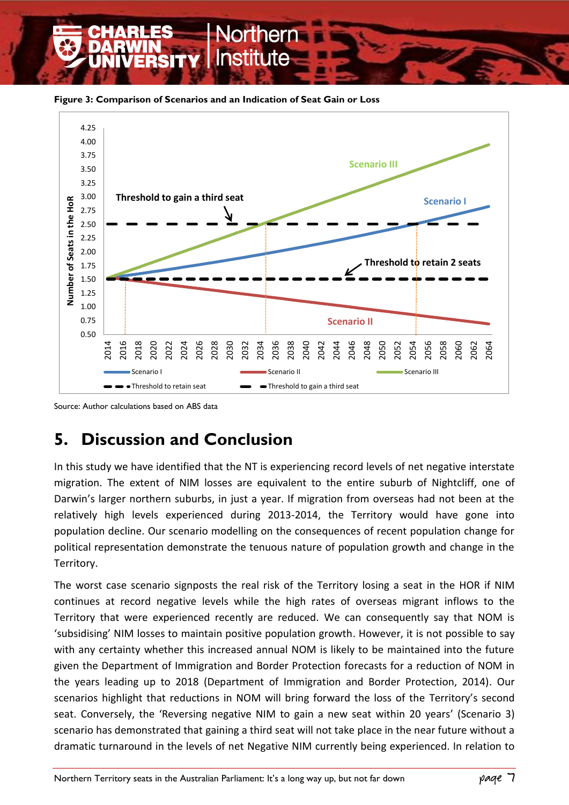**Figure 3: Comparison of Scenarios and an Indication of Seat Gain or Loss**



Source: Author calculations based on ABS data

# **5. Discussion and Conclusion**

In this study we have identified that the NT is experiencing record levels of net negative interstate migration. The extent of NIM losses are equivalent to the entire suburb of Nightcliff, one of Darwin's larger northern suburbs, in just a year. If migration from overseas had not been at the relatively high levels experienced during 2013-2014, the Territory would have gone into population decline. Our scenario modelling on the consequences of recent population change for political representation demonstrate the tenuous nature of population growth and change in the Territory.

The worst case scenario signposts the real risk of the Territory losing a seat in the HOR if NIM continues at record negative levels while the high rates of overseas migrant inflows to the Territory that were experienced recently are reduced. We can consequently say that NOM is 'subsidising' NIM losses to maintain positive population growth. However, it is not possible to say with any certainty whether this increased annual NOM is likely to be maintained into the future given the Department of Immigration and Border Protection forecasts for a reduction of NOM in the years leading up to 2018 (Department of Immigration and Border Protection, 2014). Our scenarios highlight that reductions in NOM will bring forward the loss of the Territory's second seat. Conversely, the 'Reversing negative NIM to gain a new seat within 20 years' (Scenario 3) scenario has demonstrated that gaining a third seat will not take place in the near future without a dramatic turnaround in the levels of net Negative NIM currently being experienced. In relation to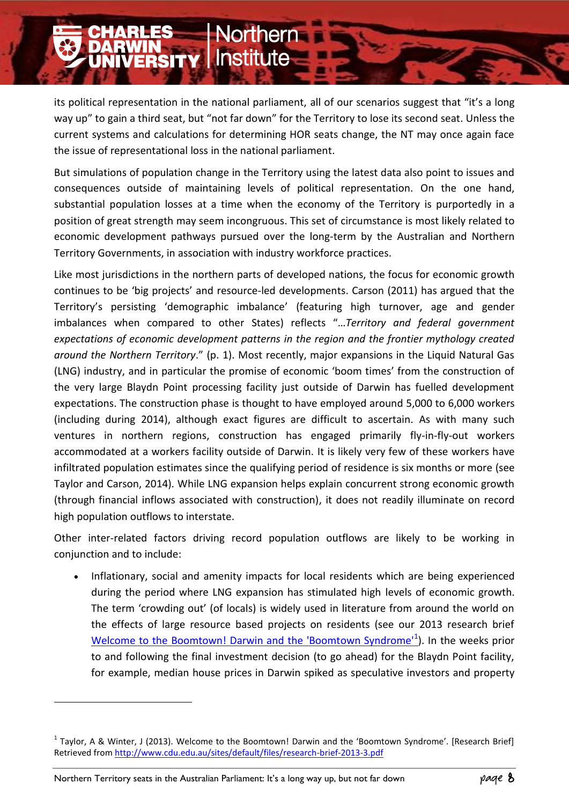its political representation in the national parliament, all of our scenarios suggest that "it's a long way up" to gain a third seat, but "not far down" for the Territory to lose its second seat. Unless the current systems and calculations for determining HOR seats change, the NT may once again face the issue of representational loss in the national parliament.

**orthern** 

**WIN<br>VERSITY | Institute** 

But simulations of population change in the Territory using the latest data also point to issues and consequences outside of maintaining levels of political representation. On the one hand, substantial population losses at a time when the economy of the Territory is purportedly in a position of great strength may seem incongruous. This set of circumstance is most likely related to economic development pathways pursued over the long-term by the Australian and Northern Territory Governments, in association with industry workforce practices.

Like most jurisdictions in the northern parts of developed nations, the focus for economic growth continues to be 'big projects' and resource-led developments. Carson (2011) has argued that the Territory's persisting 'demographic imbalance' (featuring high turnover, age and gender imbalances when compared to other States) reflects "…*Territory and federal government expectations of economic development patterns in the region and the frontier mythology created around the Northern Territory*." (p. 1). Most recently, major expansions in the Liquid Natural Gas (LNG) industry, and in particular the promise of economic 'boom times' from the construction of the very large Blaydn Point processing facility just outside of Darwin has fuelled development expectations. The construction phase is thought to have employed around 5,000 to 6,000 workers (including during 2014), although exact figures are difficult to ascertain. As with many such ventures in northern regions, construction has engaged primarily fly-in-fly-out workers accommodated at a workers facility outside of Darwin. It is likely very few of these workers have infiltrated population estimates since the qualifying period of residence is six months or more (see Taylor and Carson, 2014). While LNG expansion helps explain concurrent strong economic growth (through financial inflows associated with construction), it does not readily illuminate on record high population outflows to interstate.

Other inter-related factors driving record population outflows are likely to be working in conjunction and to include:

 Inflationary, social and amenity impacts for local residents which are being experienced during the period where LNG expansion has stimulated high levels of economic growth. The term 'crowding out' (of locals) is widely used in literature from around the world on the effects of large resource based projects on residents (see our 2013 research brief Welcome to the Boomtown! Darwin and the 'Boomtown Syndrome<sup>11</sup>). In the weeks prior to and following the final investment decision (to go ahead) for the Blaydn Point facility, for example, median house prices in Darwin spiked as speculative investors and property

-

<sup>&</sup>lt;sup>1</sup> Taylor, A & Winter, J (2013). Welcome to the Boomtown! Darwin and the 'Boomtown Syndrome'. [Research Brief] Retrieved from<http://www.cdu.edu.au/sites/default/files/research-brief-2013-3.pdf>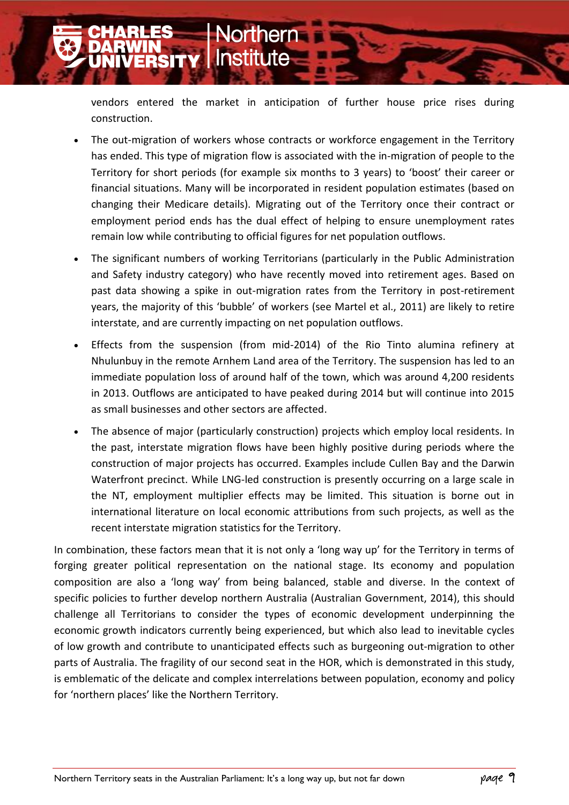vendors entered the market in anticipation of further house price rises during construction.

orthern

**WIN<br>ERSITY Institute** 

- The out-migration of workers whose contracts or workforce engagement in the Territory has ended. This type of migration flow is associated with the in-migration of people to the Territory for short periods (for example six months to 3 years) to 'boost' their career or financial situations. Many will be incorporated in resident population estimates (based on changing their Medicare details). Migrating out of the Territory once their contract or employment period ends has the dual effect of helping to ensure unemployment rates remain low while contributing to official figures for net population outflows.
- The significant numbers of working Territorians (particularly in the Public Administration and Safety industry category) who have recently moved into retirement ages. Based on past data showing a spike in out-migration rates from the Territory in post-retirement years, the majority of this 'bubble' of workers (see Martel et al., 2011) are likely to retire interstate, and are currently impacting on net population outflows.
- Effects from the suspension (from mid-2014) of the Rio Tinto alumina refinery at Nhulunbuy in the remote Arnhem Land area of the Territory. The suspension has led to an immediate population loss of around half of the town, which was around 4,200 residents in 2013. Outflows are anticipated to have peaked during 2014 but will continue into 2015 as small businesses and other sectors are affected.
- The absence of major (particularly construction) projects which employ local residents. In the past, interstate migration flows have been highly positive during periods where the construction of major projects has occurred. Examples include Cullen Bay and the Darwin Waterfront precinct. While LNG-led construction is presently occurring on a large scale in the NT, employment multiplier effects may be limited. This situation is borne out in international literature on local economic attributions from such projects, as well as the recent interstate migration statistics for the Territory.

In combination, these factors mean that it is not only a 'long way up' for the Territory in terms of forging greater political representation on the national stage. Its economy and population composition are also a 'long way' from being balanced, stable and diverse. In the context of specific policies to further develop northern Australia (Australian Government, 2014), this should challenge all Territorians to consider the types of economic development underpinning the economic growth indicators currently being experienced, but which also lead to inevitable cycles of low growth and contribute to unanticipated effects such as burgeoning out-migration to other parts of Australia. The fragility of our second seat in the HOR, which is demonstrated in this study, is emblematic of the delicate and complex interrelations between population, economy and policy for 'northern places' like the Northern Territory.